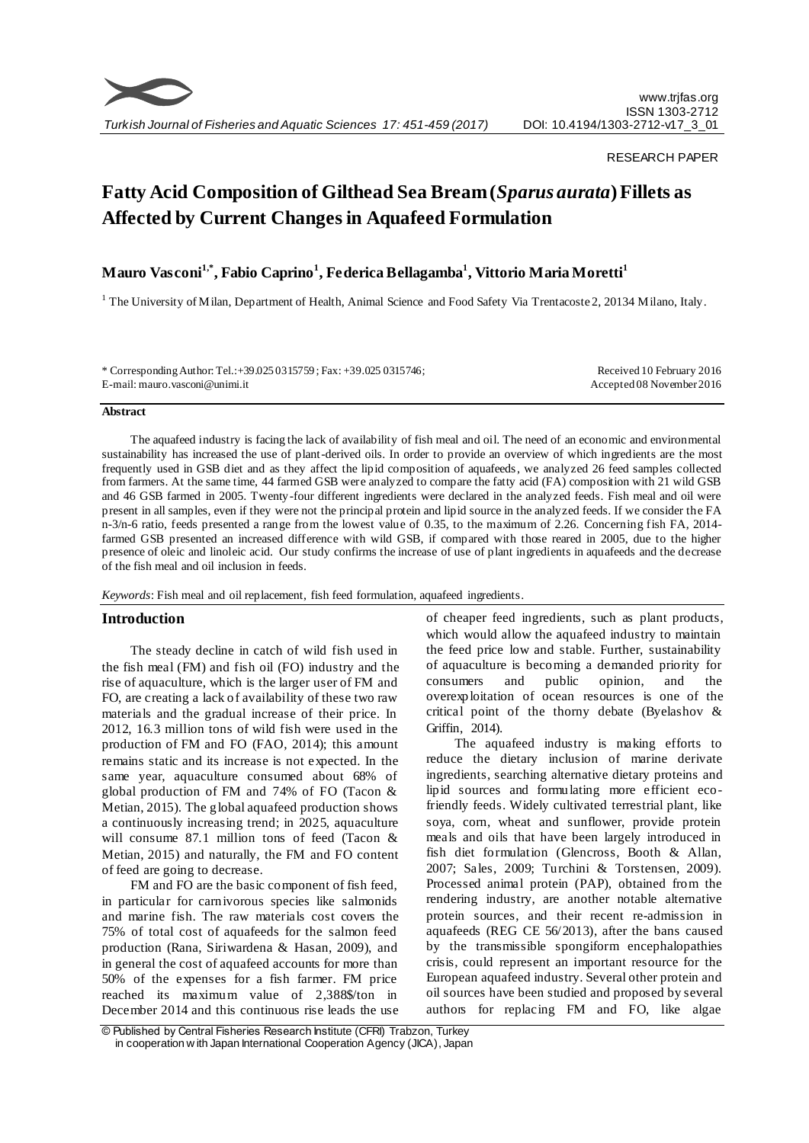

## RESEARCH PAPER

# **Fatty Acid Composition of Gilthead Sea Bream (***Sparus aurata***) Fillets as Affected by Current Changes in Aquafeed Formulation**

# **Mauro Vasconi1,\*, Fabio Caprino<sup>1</sup> , Federica Bellagamba<sup>1</sup> , Vittorio Maria Moretti<sup>1</sup>**

<sup>1</sup> The University of Milan, Department of Health, Animal Science and Food Safety Via Trentacoste 2, 20134 Milano, Italy.

\* Corresponding Author: Tel.:+39.025 0315759 ; Fax: +39.025 0315746; E-mail: mauro.vasconi@unimi.it

Received 10 February 2016 Accepted 08 November 2016

#### **Abstract**

The aquafeed industry is facing the lack of availability of fish meal and oil. The need of an economic and environmental sustainability has increased the use of plant-derived oils. In order to provide an overview of which ingredients are the most frequently used in GSB diet and as they affect the lipid composition of aquafeeds, we analyzed 26 feed samples collected from farmers. At the same time, 44 farmed GSB were analyzed to compare the fatty acid (FA) composition with 21 wild GSB and 46 GSB farmed in 2005. Twenty-four different ingredients were declared in the analyzed feeds. Fish meal and oil were present in all samples, even if they were not the principal protein and lipid source in the analyzed feeds. If we consider the FA n-3/n-6 ratio, feeds presented a range from the lowest value of 0.35, to the maximum of 2.26. Concerning fish FA, 2014 farmed GSB presented an increased difference with wild GSB, if compared with those reared in 2005, due to the higher presence of oleic and linoleic acid. Our study confirms the increase of use of plant ingredients in aquafeeds and the decrease of the fish meal and oil inclusion in feeds.

*Keywords*: Fish meal and oil replacement, fish feed formulation, aquafeed ingredients.

## **Introduction**

The steady decline in catch of wild fish used in the fish meal (FM) and fish oil (FO) industry and the rise of aquaculture, which is the larger user of FM and FO, are creating a lack of availability of these two raw materials and the gradual increase of their price. In 2012, 16.3 million tons of wild fish were used in the production of FM and FO (FAO, 2014); this amount remains static and its increase is not expected. In the same year, aquaculture consumed about 68% of global production of FM and 74% of FO (Tacon & Metian, 2015). The global aquafeed production shows a continuously increasing trend; in 2025, aquaculture will consume 87.1 million tons of feed (Tacon & Metian, 2015) and naturally, the FM and FO content of feed are going to decrease.

FM and FO are the basic component of fish feed, in particular for carnivorous species like salmonids and marine fish. The raw materials cost covers the 75% of total cost of aquafeeds for the salmon feed production (Rana, Siriwardena & Hasan, 2009), and in general the cost of aquafeed accounts for more than 50% of the expenses for a fish farmer. FM price reached its maximum value of 2,388\$/ton in December 2014 and this continuous rise leads the use of cheaper feed ingredients, such as plant products, which would allow the aquafeed industry to maintain the feed price low and stable. Further, sustainability of aquaculture is becoming a demanded priority for consumers and public opinion, and the overexploitation of ocean resources is one of the critical point of the thorny debate (Byelashov & Griffin, 2014).

The aquafeed industry is making efforts to reduce the dietary inclusion of marine derivate ingredients, searching alternative dietary proteins and lipid sources and formulating more efficient ecofriendly feeds. Widely cultivated terrestrial plant, like soya, corn, wheat and sunflower, provide protein meals and oils that have been largely introduced in fish diet formulation (Glencross, Booth & Allan, 2007; Sales, 2009; Turchini & Torstensen, 2009). Processed animal protein (PAP), obtained from the rendering industry, are another notable alternative protein sources, and their recent re-admission in aquafeeds (REG CE 56/2013), after the bans caused by the transmissible spongiform encephalopathies crisis, could represent an important resource for the European aquafeed industry. Several other protein and oil sources have been studied and proposed by several authors for replacing FM and FO, like algae

<sup>©</sup> Published by Central Fisheries Research Institute (CFRI) Trabzon, Turkey in cooperation w ith Japan International Cooperation Agency (JICA), Japan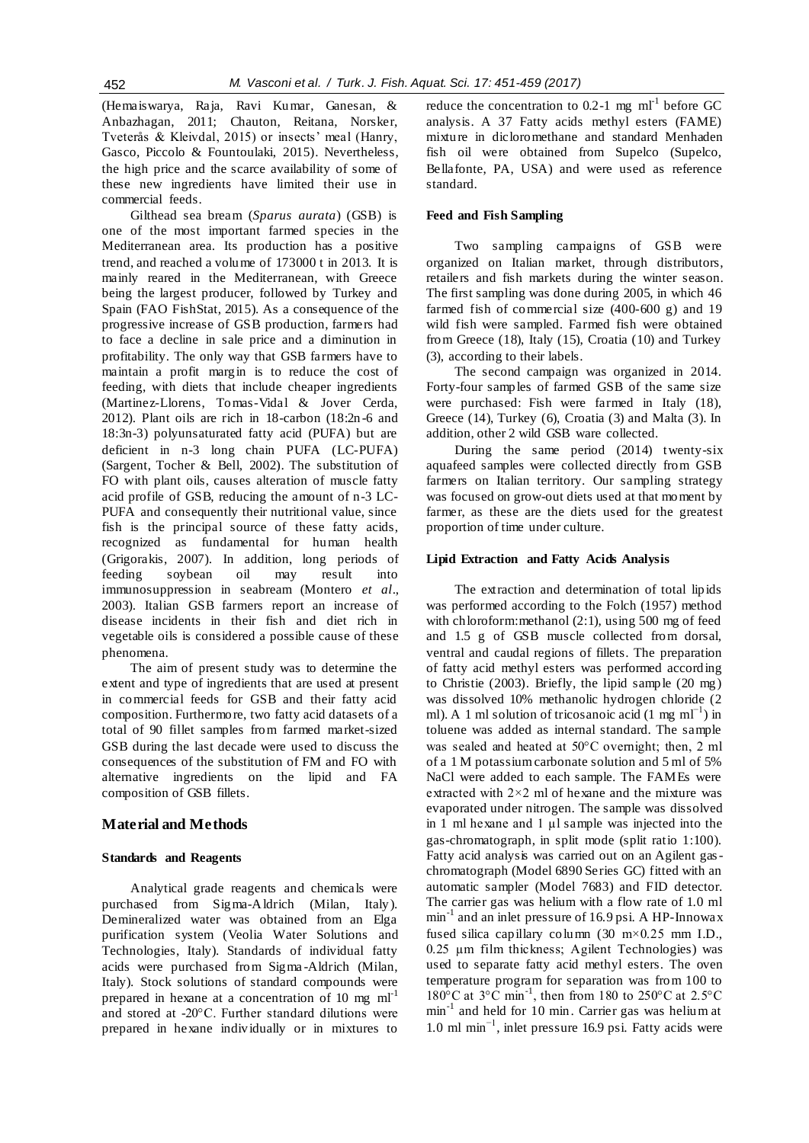(Hemaiswarya, Raja, Ravi Kumar, Ganesan, & Anbazhagan, 2011; Chauton, Reitana, Norsker, Tveterås & Kleivdal, 2015) or insects' meal (Hanry, Gasco, Piccolo & Fountoulaki, 2015). Nevertheless, the high price and the scarce availability of some of these new ingredients have limited their use in commercial feeds.

Gilthead sea bream (*Sparus aurata*) (GSB) is one of the most important farmed species in the Mediterranean area. Its production has a positive trend, and reached a volume of 173000 t in 2013. It is mainly reared in the Mediterranean, with Greece being the largest producer, followed by Turkey and Spain (FAO FishStat, 2015). As a consequence of the progressive increase of GSB production, farmers had to face a decline in sale price and a diminution in profitability. The only way that GSB farmers have to maintain a profit margin is to reduce the cost of feeding, with diets that include cheaper ingredients (Martinez-Llorens, Tomas-Vidal & Jover Cerda, 2012). Plant oils are rich in 18-carbon (18:2n -6 and 18:3n-3) polyunsaturated fatty acid (PUFA) but are deficient in n-3 long chain PUFA (LC-PUFA) (Sargent, Tocher & Bell, 2002). The substitution of FO with plant oils, causes alteration of muscle fatty acid profile of GSB, reducing the amount of n-3 LC-PUFA and consequently their nutritional value, since fish is the principal source of these fatty acids, recognized as fundamental for human health (Grigorakis, 2007). In addition, long periods of feeding soybean oil may result into immunosuppression in seabream (Montero *et al*., 2003). Italian GSB farmers report an increase of disease incidents in their fish and diet rich in vegetable oils is considered a possible cause of these phenomena.

The aim of present study was to determine the extent and type of ingredients that are used at present in commercial feeds for GSB and their fatty acid composition. Furthermore, two fatty acid datasets of a total of 90 fillet samples from farmed market-sized GSB during the last decade were used to discuss the consequences of the substitution of FM and FO with alternative ingredients on the lipid and FA composition of GSB fillets.

# **Material and Methods**

#### **Standards and Reagents**

Analytical grade reagents and chemicals were purchased from Sigma-Aldrich (Milan, Italy). Demineralized water was obtained from an Elga purification system (Veolia Water Solutions and Technologies, Italy). Standards of individual fatty acids were purchased from Sigma -Aldrich (Milan, Italy). Stock solutions of standard compounds were prepared in hexane at a concentration of 10 mg  $ml^{-1}$ and stored at -20°C. Further standard dilutions were prepared in hexane individually or in mixtures to reduce the concentration to 0.2-1 mg  $ml^{-1}$  before GC analysis. A 37 Fatty acids methyl esters (FAME) mixture in dicloromethane and standard Menhaden fish oil were obtained from Supelco (Supelco, Bellafonte, PA, USA) and were used as reference standard.

# **Feed and Fish Sampling**

Two sampling campaigns of GSB were organized on Italian market, through distributors, retailers and fish markets during the winter season. The first sampling was done during 2005, in which 46 farmed fish of commercial size (400-600 g) and 19 wild fish were sampled. Farmed fish were obtained from Greece (18), Italy (15), Croatia (10) and Turkey (3), according to their labels.

The second campaign was organized in 2014. Forty-four samples of farmed GSB of the same size were purchased: Fish were farmed in Italy (18), Greece (14), Turkey (6), Croatia (3) and Malta (3). In addition, other 2 wild GSB ware collected.

During the same period (2014) twenty-six aquafeed samples were collected directly from GSB farmers on Italian territory. Our sampling strategy was focused on grow-out diets used at that moment by farmer, as these are the diets used for the greatest proportion of time under culture.

#### **Lipid Extraction and Fatty Acids Analysis**

The extraction and determination of total lipids was performed according to the Folch (1957) method with chloroform:methanol (2:1), using 500 mg of feed and 1.5 g of GSB muscle collected from dorsal, ventral and caudal regions of fillets. The preparation of fatty acid methyl esters was performed according to Christie (2003). Briefly, the lipid sample (20 mg) was dissolved 10% methanolic hydrogen chloride (2 ml). A 1 ml solution of tricosanoic acid  $(1 \text{ mg } \text{m1}^{-1})$  in toluene was added as internal standard. The sample was sealed and heated at 50°C overnight; then, 2 ml of a 1 M potassium carbonate solution and 5 ml of 5% NaCl were added to each sample. The FAMEs were extracted with 2×2 ml of hexane and the mixture was evaporated under nitrogen. The sample was dissolved in 1 ml hexane and 1  $\mu$ l sample was injected into the gas-chromatograph, in split mode (split ratio 1:100). Fatty acid analysis was carried out on an Agilent gaschromatograph (Model 6890 Series GC) fitted with an automatic sampler (Model 7683) and FID detector. The carrier gas was helium with a flow rate of 1.0 ml min-1 and an inlet pressure of 16.9 psi. A HP-Innowax fused silica capillary column  $(30 \text{ m} \times 0.25 \text{ mm } \text{I.D.}$ , 0.25 µm film thickness; Agilent Technologies) was used to separate fatty acid methyl esters. The oven temperature program for separation was from 100 to  $180^{\circ}$ C at  $3^{\circ}$ C min<sup>-1</sup>, then from 180 to 250°C at 2.5°C min-1 and held for 10 min. Carrier gas was helium at 1.0 ml min−1, inlet pressure 16.9 psi. Fatty acids were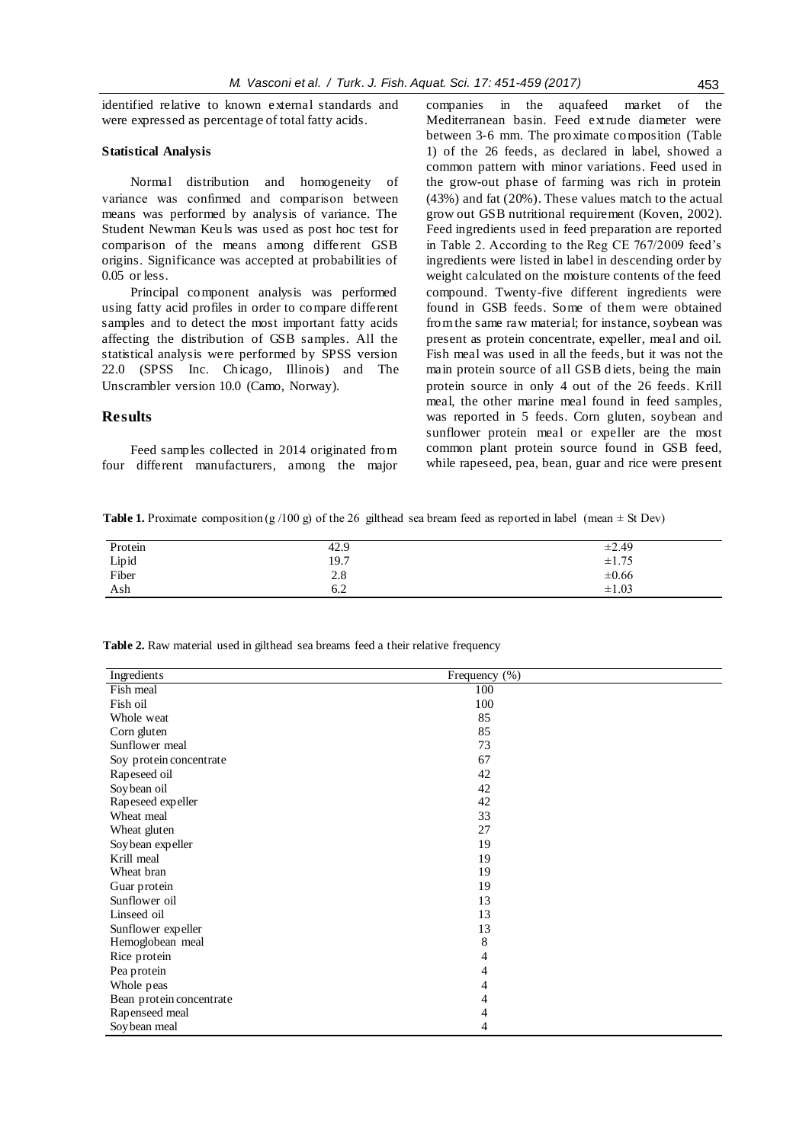identified relative to known external standards and were expressed as percentage of total fatty acids.

#### **Statistical Analysis**

Normal distribution and homogeneity of variance was confirmed and comparison between means was performed by analysis of variance. The Student Newman Keuls was used as post hoc test for comparison of the means among different GSB origins. Significance was accepted at probabilities of 0.05 or less.

Principal component analysis was performed using fatty acid profiles in order to compare different samples and to detect the most important fatty acids affecting the distribution of GSB samples. All the statistical analysis were performed by SPSS version 22.0 (SPSS Inc. Chicago, Illinois) and The Unscrambler version 10.0 (Camo, Norway).

# **Results**

Feed samples collected in 2014 originated from four different manufacturers, among the major companies in the aquafeed market of the Mediterranean basin. Feed extrude diameter were between 3-6 mm. The proximate composition (Table 1) of the 26 feeds, as declared in label, showed a common pattern with minor variations. Feed used in the grow-out phase of farming was rich in protein (43%) and fat (20%). These values match to the actual grow out GSB nutritional requirement (Koven, 2002). Feed ingredients used in feed preparation are reported in Table 2. According to the Reg CE 767/2009 feed's ingredients were listed in label in descending order by weight calculated on the moisture contents of the feed compound. Twenty-five different ingredients were found in GSB feeds. Some of them were obtained from the same raw material; for instance, soybean was present as protein concentrate, expeller, meal and oil. Fish meal was used in all the feeds, but it was not the main protein source of all GSB diets, being the main protein source in only 4 out of the 26 feeds. Krill meal, the other marine meal found in feed samples, was reported in 5 feeds. Corn gluten, soybean and sunflower protein meal or expeller are the most common plant protein source found in GSB feed, while rapeseed, pea, bean, guar and rice were present

**Table 1.** Proximate composition (g /100 g) of the 26 gilthead sea bream feed as reported in label (mean  $\pm$  St Dev)

| Protein | 42.9              | $\pm 2.49$               |
|---------|-------------------|--------------------------|
| Lipid   | 19.7              | ±1.75                    |
| Fiber   | $\frac{2.8}{6.2}$ | $\pm 0.66$<br>$\pm 1.03$ |
| Ash     |                   |                          |

**Table 2.** Raw material used in gilthead sea breams feed a their relative frequency

| Ingredients              | Frequency (%) |
|--------------------------|---------------|
| Fish meal                | 100           |
| Fish oil                 | 100           |
| Whole weat               | 85            |
| Corn gluten              | 85            |
| Sunflower meal           | 73            |
| Soy protein concentrate  | 67            |
| Rapeseed oil             | 42            |
| Soybean oil              | 42            |
| Rapeseed expeller        | 42            |
| Wheat meal               | 33            |
| Wheat gluten             | 27            |
| Soy bean expeller        | 19            |
| Krill meal               | 19            |
| Wheat bran               | 19            |
| Guar protein             | 19            |
| Sunflower oil            | 13            |
| Linseed oil              | 13            |
| Sunflower expeller       | 13            |
| Hemoglobean meal         | 8             |
| Rice protein             | 4             |
| Pea protein              | 4             |
| Whole peas               | 4             |
| Bean protein concentrate | 4             |
| Rapenseed meal           | 4             |
| Soy bean meal            | 4             |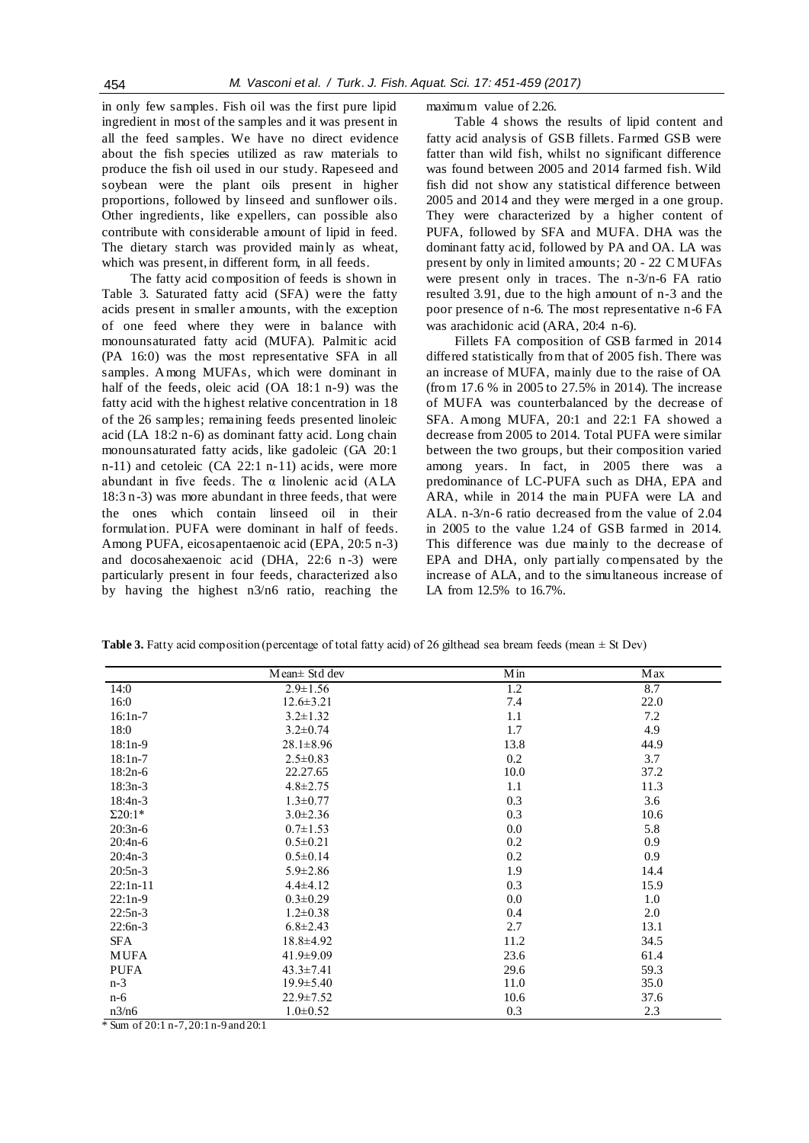in only few samples. Fish oil was the first pure lipid ingredient in most of the samples and it was present in all the feed samples. We have no direct evidence about the fish species utilized as raw materials to produce the fish oil used in our study. Rapeseed and soybean were the plant oils present in higher proportions, followed by linseed and sunflower oils. Other ingredients, like expellers, can possible also contribute with considerable amount of lipid in feed. The dietary starch was provided mainly as wheat, which was present, in different form, in all feeds.

The fatty acid composition of feeds is shown in Table 3. Saturated fatty acid (SFA) were the fatty acids present in smaller amounts, with the exception of one feed where they were in balance with monounsaturated fatty acid (MUFA). Palmitic acid (PA 16:0) was the most representative SFA in all samples. Among MUFAs, which were dominant in half of the feeds, oleic acid (OA 18:1 n-9) was the fatty acid with the highest relative concentration in 18 of the 26 samples; remaining feeds presented linoleic acid (LA 18:2 n-6) as dominant fatty acid. Long chain monounsaturated fatty acids, like gadoleic (GA 20:1 n-11) and cetoleic (CA 22:1 n-11) acids, were more abundant in five feeds. The α linolenic acid (ALA 18:3 n-3) was more abundant in three feeds, that were the ones which contain linseed oil in their formulation. PUFA were dominant in half of feeds. Among PUFA, eicosapentaenoic acid (EPA, 20:5 n-3) and docosahexaenoic acid (DHA, 22:6 n -3) were particularly present in four feeds, characterized also by having the highest n3/n6 ratio, reaching the maximum value of 2.26.

Table 4 shows the results of lipid content and fatty acid analysis of GSB fillets. Farmed GSB were fatter than wild fish, whilst no significant difference was found between 2005 and 2014 farmed fish. Wild fish did not show any statistical difference between 2005 and 2014 and they were merged in a one group. They were characterized by a higher content of PUFA, followed by SFA and MUFA. DHA was the dominant fatty acid, followed by PA and OA. LA was present by only in limited amounts; 20 - 22 C MUFAs were present only in traces. The n-3/n-6 FA ratio resulted 3.91, due to the high amount of n-3 and the poor presence of n-6. The most representative n-6 FA was arachidonic acid (ARA, 20:4 n-6).

Fillets FA composition of GSB farmed in 2014 differed statistically from that of 2005 fish. There was an increase of MUFA, mainly due to the raise of OA (from 17.6 % in 2005 to 27.5% in 2014). The increase of MUFA was counterbalanced by the decrease of SFA. Among MUFA, 20:1 and 22:1 FA showed a decrease from 2005 to 2014. Total PUFA were similar between the two groups, but their composition varied among years. In fact, in 2005 there was a predominance of LC-PUFA such as DHA, EPA and ARA, while in 2014 the main PUFA were LA and ALA. n-3/n-6 ratio decreased from the value of 2.04 in 2005 to the value 1.24 of GSB farmed in 2014. This difference was due mainly to the decrease of EPA and DHA, only partially compensated by the increase of ALA, and to the simultaneous increase of LA from 12.5% to 16.7%.

|                | Mean ± Std dev  | Min  | <b>Max</b> |
|----------------|-----------------|------|------------|
| 14:0           | $2.9 \pm 1.56$  | 1.2  | 8.7        |
| 16:0           | $12.6 \pm 3.21$ | 7.4  | 22.0       |
| $16:1n-7$      | $3.2 \pm 1.32$  | 1.1  | 7.2        |
| 18:0           | $3.2 \pm 0.74$  | 1.7  | 4.9        |
| $18:1n-9$      | $28.1 \pm 8.96$ | 13.8 | 44.9       |
| $18:1n-7$      | $2.5 \pm 0.83$  | 0.2  | 3.7        |
| $18:2n-6$      | 22.27.65        | 10.0 | 37.2       |
| $18:3n-3$      | $4.8 \pm 2.75$  | 1.1  | 11.3       |
| $18:4n-3$      | $1.3 \pm 0.77$  | 0.3  | 3.6        |
| $\Sigma 20:1*$ | $3.0 \pm 2.36$  | 0.3  | 10.6       |
| $20:3n-6$      | $0.7 \pm 1.53$  | 0.0  | 5.8        |
| $20:4n-6$      | $0.5 \pm 0.21$  | 0.2  | 0.9        |
| $20:4n-3$      | $0.5 \pm 0.14$  | 0.2  | 0.9        |
| $20:5n-3$      | $5.9 \pm 2.86$  | 1.9  | 14.4       |
| $22:1n-11$     | $4.4 \pm 4.12$  | 0.3  | 15.9       |
| $22:1n-9$      | $0.3 \pm 0.29$  | 0.0  | 1.0        |
| $22:5n-3$      | $1.2 \pm 0.38$  | 0.4  | 2.0        |
| $22:6n-3$      | $6.8 \pm 2.43$  | 2.7  | 13.1       |
| SFA            | $18.8 \pm 4.92$ | 11.2 | 34.5       |
| <b>MUFA</b>    | $41.9 \pm 9.09$ | 23.6 | 61.4       |
| <b>PUFA</b>    | $43.3 \pm 7.41$ | 29.6 | 59.3       |
| $n-3$          | $19.9 \pm 5.40$ | 11.0 | 35.0       |
| $n-6$          | $22.9 \pm 7.52$ | 10.6 | 37.6       |
| n3/n6          | $1.0 \pm 0.52$  | 0.3  | 2.3        |

**Table 3.** Fatty acid composition (percentage of total fatty acid) of 26 gilthead sea bream feeds (mean ± St Dev)

\* Sum of 20:1 n-7, 20:1 n-9 and 20:1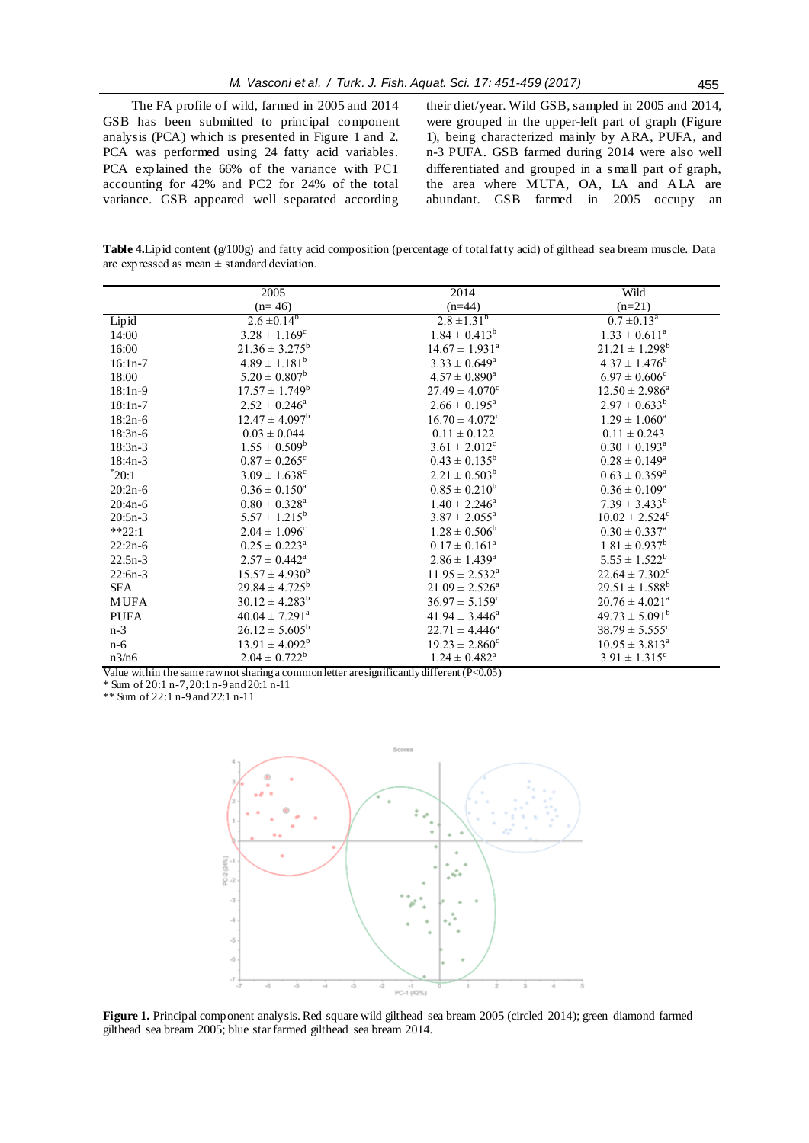The FA profile of wild, farmed in 2005 and 2014 GSB has been submitted to principal component analysis (PCA) which is presented in Figure 1 and 2. PCA was performed using 24 fatty acid variables. PCA explained the 66% of the variance with PC1 accounting for 42% and PC2 for 24% of the total variance. GSB appeared well separated according

their diet/year. Wild GSB, sampled in 2005 and 2014, were grouped in the upper-left part of graph (Figure 1), being characterized mainly by ARA, PUFA, and n-3 PUFA. GSB farmed during 2014 were also well differentiated and grouped in a s mall part of graph, the area where MUFA, OA, LA and ALA are abundant. GSB farmed in 2005 occupy an

**Table 4.**Lipid content (g/100g) and fatty acid composition (percentage of total fatty acid) of gilthead sea bream muscle. Data are expressed as mean  $\pm$  standard deviation.

|             | 2005                           | 2014                           | Wild                           |
|-------------|--------------------------------|--------------------------------|--------------------------------|
|             | $(n=46)$                       | $(n=44)$                       | $(n=21)$                       |
| Lipid       | $2.6 \pm 0.14^{b}$             | $2.8 \pm 1.31^{b}$             | $0.7 \pm 0.13^{\circ}$         |
| 14:00       | $3.28 \pm 1.169^c$             | $1.84 \pm 0.413^b$             | $1.33 \pm 0.611^{\circ}$       |
| 16:00       | $21.36 \pm 3.275^{\rm b}$      | $14.67 \pm 1.931^{\circ}$      | $21.21 \pm 1.298^b$            |
| $16:1n-7$   | $4.89 \pm 1.181^b$             | $3.33 \pm 0.649^a$             | $4.37 \pm 1.476^b$             |
| 18:00       | $5.20 \pm 0.807^b$             | $4.57 \pm 0.890^a$             | $6.97 \pm 0.606$ <sup>c</sup>  |
| $18:1n-9$   | $17.57 \pm 1.749^b$            | $27.49 \pm 4.070^{\circ}$      | $12.50 \pm 2.986^a$            |
| $18:1n-7$   | $2.52 \pm 0.246^{\circ}$       | $2.66 \pm 0.195^{\text{a}}$    | $2.97 \pm 0.633^b$             |
| $18:2n-6$   | $12.47 \pm 4.097^b$            | $16.70 \pm 4.072$ <sup>c</sup> | $1.29 \pm 1.060^a$             |
| $18:3n-6$   | $0.03 \pm 0.044$               | $0.11 \pm 0.122$               | $0.11 \pm 0.243$               |
| $18:3n-3$   | $1.55 \pm 0.509^b$             | $3.61 \pm 2.012$ <sup>c</sup>  | $0.30 \pm 0.193^a$             |
| $18:4n-3$   | $0.87 \pm 0.265$ <sup>c</sup>  | $0.43 \pm 0.135^b$             | $0.28 \pm 0.149^a$             |
| $^*20:1$    | $3.09 \pm 1.638$ <sup>c</sup>  | $2.21 \pm 0.503^b$             | $0.63 \pm 0.359^a$             |
| $20:2n-6$   | $0.36 \pm 0.150^a$             | $0.85 \pm 0.210^b$             | $0.36 \pm 0.109^{\rm a}$       |
| $20:4n-6$   | $0.80 \pm 0.328^a$             | $1.40 \pm 2.246^a$             | $7.39 \pm 3.433^b$             |
| $20:5n-3$   | $5.57 \pm 1.215^b$             | $3.87 \pm 2.055^{\text{a}}$    | $10.02 \pm 2.524$ <sup>c</sup> |
| $*$ *22:1   | $2.04 \pm 1.096^{\circ}$       | $1.28 \pm 0.506^b$             | $0.30 \pm 0.337^a$             |
| $22:2n-6$   | $0.25 \pm 0.223^{\rm a}$       | $0.17 \pm 0.161^a$             | $1.81 \pm 0.937^b$             |
| $22:5n-3$   | $2.57 \pm 0.442^{\text{a}}$    | $2.86 \pm 1.439^{\rm a}$       | $5.55 \pm 1.522^b$             |
| $22:6n-3$   | $15.57 \pm 4.930^b$            | $11.95 \pm 2.532^{\circ}$      | $22.64 \pm 7.302$ <sup>c</sup> |
| SFA         | $29.84 \pm 4.725^b$            | $21.09 \pm 2.526^{\circ}$      | $29.51 \pm 1.588^b$            |
| <b>MUFA</b> | $30.12 \pm 4.283^b$            | $36.97 \pm 5.159^{\circ}$      | $20.76 \pm 4.021^{\circ}$      |
| <b>PUFA</b> | $40.04 \pm 7.291$ <sup>a</sup> | $41.94 \pm 3.446^a$            | $49.73 \pm 5.091^b$            |
| $n-3$       | $26.12 \pm 5.605^b$            | $22.71 \pm 4.446^a$            | $38.79 \pm 5.555$ <sup>c</sup> |
| $n-6$       | $13.91 \pm 4.092^b$            | $19.23 \pm 2.860^{\circ}$      | $10.95 \pm 3.813^{\circ}$      |
| n3/n6       | $2.04 \pm 0.722^b$             | $1.24 \pm 0.482^a$             | $3.91 \pm 1.315$ <sup>c</sup>  |

Value within the same raw not sharing a common letter are significantly different (P<0.05)

\* Sum of 20:1 n-7, 20:1 n-9 and 20:1 n-11

\*\* Sum of 22:1 n-9 and 22:1 n-11



**Figure 1.** Principal component analysis. Red square wild gilthead sea bream 2005 (circled 2014); green diamond farmed gilthead sea bream 2005; blue star farmed gilthead sea bream 2014.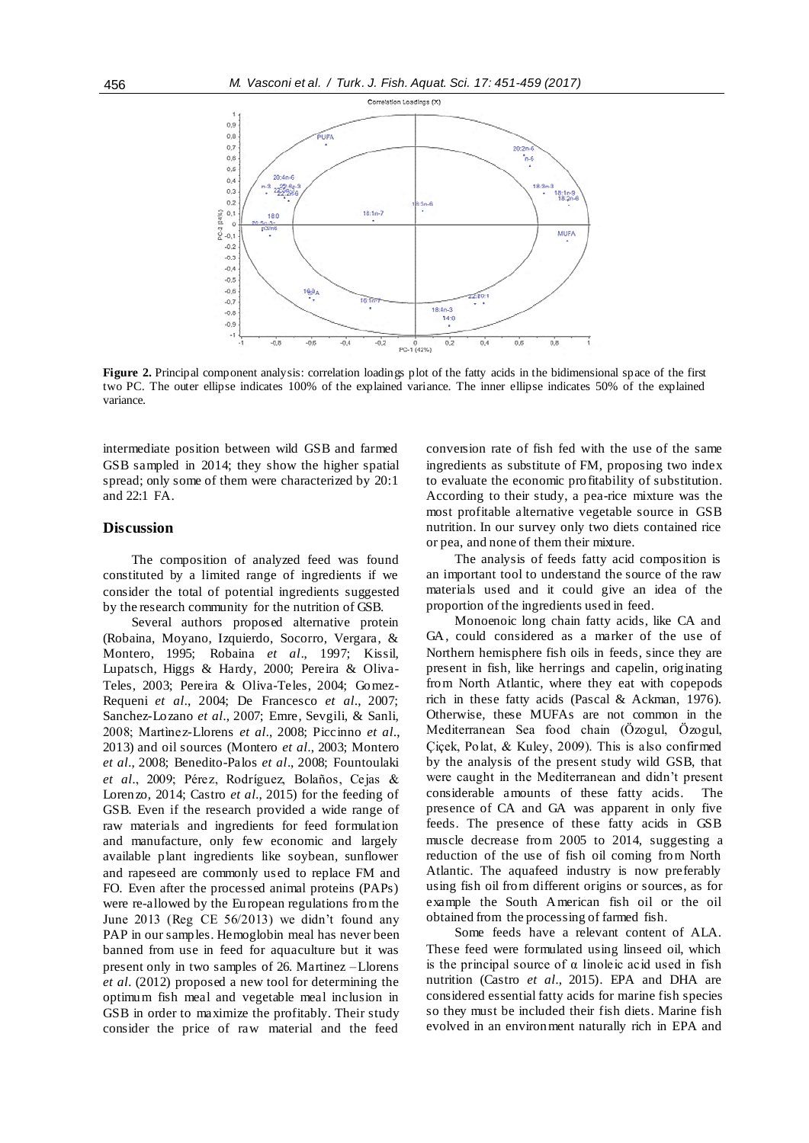

**Figure 2.** Principal component analysis: correlation loadings plot of the fatty acids in the bidimensional space of the first two PC. The outer ellipse indicates 100% of the explained variance. The inner ellipse indicates 50% of the explained variance.

intermediate position between wild GSB and farmed GSB sampled in 2014; they show the higher spatial spread; only some of them were characterized by 20:1 and 22:1 FA.

# **Discussion**

The composition of analyzed feed was found constituted by a limited range of ingredients if we consider the total of potential ingredients suggested by the research community for the nutrition of GSB.

Several authors proposed alternative protein (Robaina, Moyano, Izquierdo, Socorro, Vergara, & Montero, 1995; Robaina *et al*., 1997; Kissil, Lupatsch, Higgs & Hardy, 2000; Pereira & Oliva-Teles, 2003; Pereira & Oliva-Teles, 2004; Gomez-Requeni *et al.*, 2004; De Francesco *et al.*, 2007; Sanchez-Lozano *et al.*, 2007; Emre, Sevgili, & Sanli, 2008; Martìnez-Llorens *et al.*, 2008; Piccinno *et al.*, 2013) and oil sources (Montero *et al.*, 2003; Montero *et al.*, 2008; Benedito-Palos *et al*., 2008; Fountoulaki *et al.*, 2009; Pérez, Rodríguez, Bolaños, Cejas & Lorenzo, 2014; Castro *et al.*, 2015) for the feeding of GSB. Even if the research provided a wide range of raw materials and ingredients for feed formulation and manufacture, only few economic and largely available plant ingredients like soybean, sunflower and rapeseed are commonly used to replace FM and FO. Even after the processed animal proteins (PAPs) were re-allowed by the European regulations from the June 2013 (Reg CE 56/2013) we didn't found any PAP in our samples. Hemoglobin meal has never been banned from use in feed for aquaculture but it was present only in two samples of 26. Martinez –Llorens *et al.* (2012) proposed a new tool for determining the optimum fish meal and vegetable meal inclusion in GSB in order to maximize the profitably. Their study consider the price of raw material and the feed conversion rate of fish fed with the use of the same ingredients as substitute of FM, proposing two index to evaluate the economic profitability of substitution. According to their study, a pea-rice mixture was the most profitable alternative vegetable source in GSB nutrition. In our survey only two diets contained rice or pea, and none of them their mixture.

The analysis of feeds fatty acid composition is an important tool to understand the source of the raw materials used and it could give an idea of the proportion of the ingredients used in feed.

Monoenoic long chain fatty acids, like CA and GA, could considered as a marker of the use of Northern hemisphere fish oils in feeds, since they are present in fish, like herrings and capelin, originating from North Atlantic, where they eat with copepods rich in these fatty acids (Pascal & Ackman, 1976). Otherwise, these MUFAs are not common in the Mediterranean Sea food chain (Özogul, Özogul, Çiçek, Polat, & Kuley, 2009). This is also confirmed by the analysis of the present study wild GSB, that were caught in the Mediterranean and didn't present considerable amounts of these fatty acids. The presence of CA and GA was apparent in only five feeds. The presence of these fatty acids in GSB muscle decrease from 2005 to 2014, suggesting a reduction of the use of fish oil coming from North Atlantic. The aquafeed industry is now preferably using fish oil from different origins or sources, as for example the South American fish oil or the oil obtained from the processing of farmed fish.

Some feeds have a relevant content of ALA. These feed were formulated using linseed oil, which is the principal source of  $\alpha$  linoleic acid used in fish nutrition (Castro *et al.*, 2015). EPA and DHA are considered essential fatty acids for marine fish species so they must be included their fish diets. Marine fish evolved in an environment naturally rich in EPA and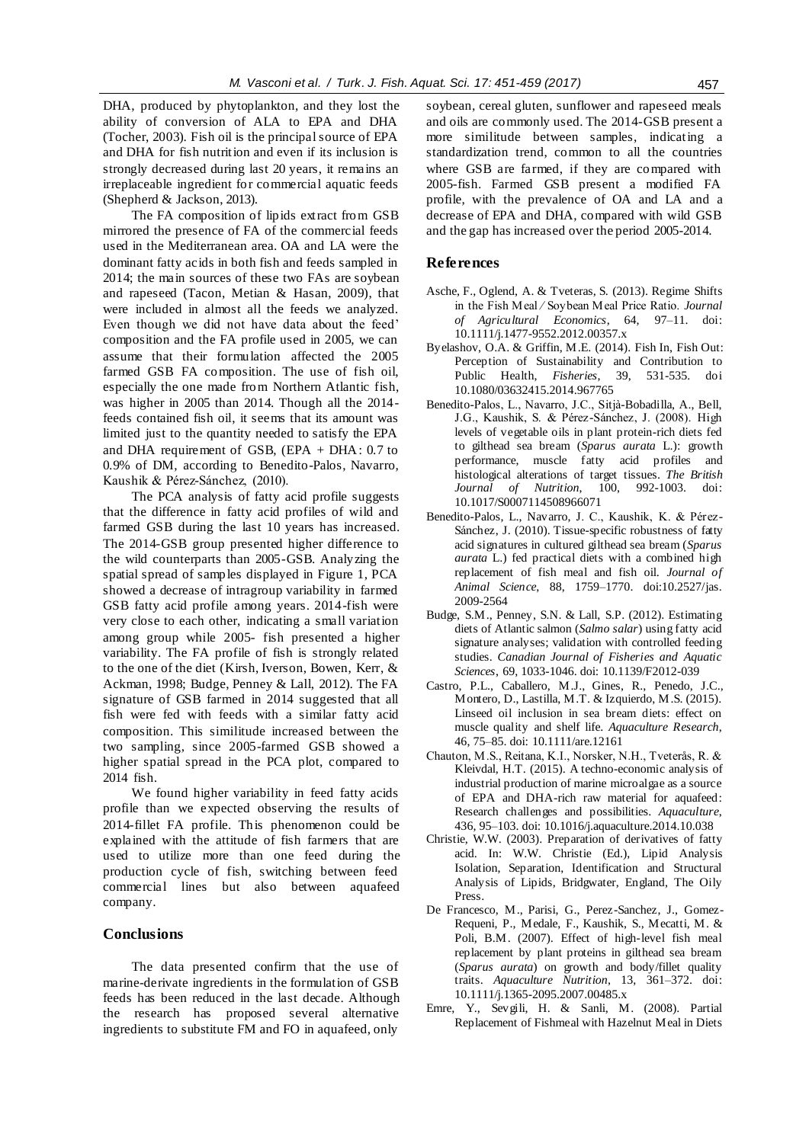DHA, produced by phytoplankton, and they lost the ability of conversion of ALA to EPA and DHA (Tocher, 2003). Fish oil is the principal source of EPA and DHA for fish nutrition and even if its inclusion is strongly decreased during last 20 years, it remains an irreplaceable ingredient for commercial aquatic feeds (Shepherd & Jackson, 2013).

The FA composition of lipids extract from GSB mirrored the presence of FA of the commercial feeds used in the Mediterranean area. OA and LA were the dominant fatty acids in both fish and feeds sampled in 2014; the main sources of these two FAs are soybean and rapeseed (Tacon, Metian & Hasan, 2009), that were included in almost all the feeds we analyzed. Even though we did not have data about the feed' composition and the FA profile used in 2005, we can assume that their formulation affected the 2005 farmed GSB FA composition. The use of fish oil, especially the one made from Northern Atlantic fish, was higher in 2005 than 2014. Though all the 2014 feeds contained fish oil, it seems that its amount was limited just to the quantity needed to satisfy the EPA and DHA requirement of GSB, (EPA + DHA: 0.7 to 0.9% of DM, according to Benedito-Palos, Navarro, Kaushik & Pérez-Sánchez, (2010).

The PCA analysis of fatty acid profile suggests that the difference in fatty acid profiles of wild and farmed GSB during the last 10 years has increased. The 2014-GSB group presented higher difference to the wild counterparts than 2005-GSB. Analyzing the spatial spread of samples displayed in Figure 1, PCA showed a decrease of intragroup variability in farmed GSB fatty acid profile among years. 2014-fish were very close to each other, indicating a small variation among group while 2005- fish presented a higher variability. The FA profile of fish is strongly related to the one of the diet (Kirsh, Iverson, Bowen, Kerr, & Ackman, 1998; Budge, Penney & Lall, 2012). The FA signature of GSB farmed in 2014 suggested that all fish were fed with feeds with a similar fatty acid composition. This similitude increased between the two sampling, since 2005-farmed GSB showed a higher spatial spread in the PCA plot, compared to 2014 fish.

We found higher variability in feed fatty acids profile than we expected observing the results of 2014-fillet FA profile. This phenomenon could be explained with the attitude of fish farmers that are used to utilize more than one feed during the production cycle of fish, switching between feed commercial lines but also between aquafeed company.

# **Conclusions**

The data presented confirm that the use of marine-derivate ingredients in the formulation of GSB feeds has been reduced in the last decade. Although the research has proposed several alternative ingredients to substitute FM and FO in aquafeed, only

soybean, cereal gluten, sunflower and rapeseed meals and oils are commonly used. The 2014-GSB present a more similitude between samples, indicating a standardization trend, common to all the countries where GSB are farmed, if they are compared with 2005-fish. Farmed GSB present a modified FA profile, with the prevalence of OA and LA and a decrease of EPA and DHA, compared with wild GSB and the gap has increased over the period 2005-2014.

#### **References**

- Asche, F., Oglend, A. & Tveteras, S. (2013). Regime Shifts in the Fish Meal ⁄ Soybean Meal Price Ratio. *Journal of Agricultural Economics*, 64, 97–11. doi: 10.1111/j.1477-9552.2012.00357.x
- Byelashov, O.A. & Griffin, M.E. (2014). Fish In, Fish Out: Perception of Sustainability and Contribution to Public Health, *Fisheries*, 39, 531-535. doi 10.1080/03632415.2014.967765
- Benedito-Palos, L., Navarro, J.C., Sitjà-Bobadilla, A., Bell, J.G., Kaushik, S. & Pérez-Sánchez, J. (2008). High levels of vegetable oils in plant protein-rich diets fed to gilthead sea bream (*Sparus aurata* L.): growth performance, muscle fatty acid profiles and histological alterations of target tissues. *The British Journal of Nutrition,* 10.1017/S0007114508966071
- Benedito-Palos, L., Navarro, J. C., Kaushik, K. & Pérez-Sánchez, J. (2010). Tissue-specific robustness of fatty acid signatures in cultured gilthead sea bream (*Sparus aurata* L.) fed practical diets with a combined high replacement of fish meal and fish oil. *Journal of Animal Science*, 88, 1759–1770. doi:10.2527/jas. 2009-2564
- Budge, S.M., Penney, S.N. & Lall, S.P. (2012). Estimating diets of Atlantic salmon (*Salmo salar*) using fatty acid signature analyses; validation with controlled feeding studies. *Canadian Journal of Fisheries and Aquatic Sciences*, 69, 1033-1046. doi: 10.1139/F2012-039
- Castro, P.L., Caballero, M.J., Gines, R., Penedo, J.C., Montero, D., Lastilla, M.T. & Izquierdo, M.S. (2015). Linseed oil inclusion in sea bream diets: effect on muscle quality and shelf life. *Aquaculture Research*, 46, 75–85. doi: 10.1111/are.12161
- Chauton, M.S., Reitana, K.I., Norsker, N.H., Tveterås, R. & Kleivdal, H.T. (2015). A techno-economic analysis of industrial production of marine microalgae as a source of EPA and DHA-rich raw material for aquafeed: Research challenges and possibilities. *Aquaculture*, 436, 95–103. doi: 10.1016/j.aquaculture.2014.10.038
- Christie, W.W. (2003). Preparation of derivatives of fatty acid. In: W.W. Christie (Ed.), Lipid Analysis Isolation, Separation, Identification and Structural Analysis of Lipids, Bridgwater, England, The Oily Press.
- De Francesco, M., Parisi, G., Perez-Sanchez, J., Gomez-Requeni, P., Medale, F., Kaushik, S., Mecatti, M. & Poli, B.M. (2007). Effect of high-level fish meal replacement by plant proteins in gilthead sea bream (*Sparus aurata*) on growth and body/fillet quality traits. *Aquaculture Nutrition*, 13, 361–372. doi: 10.1111/j.1365-2095.2007.00485.x
- Emre, Y., Sevgili, H. & Sanli, M. (2008). Partial Replacement of Fishmeal with Hazelnut Meal in Diets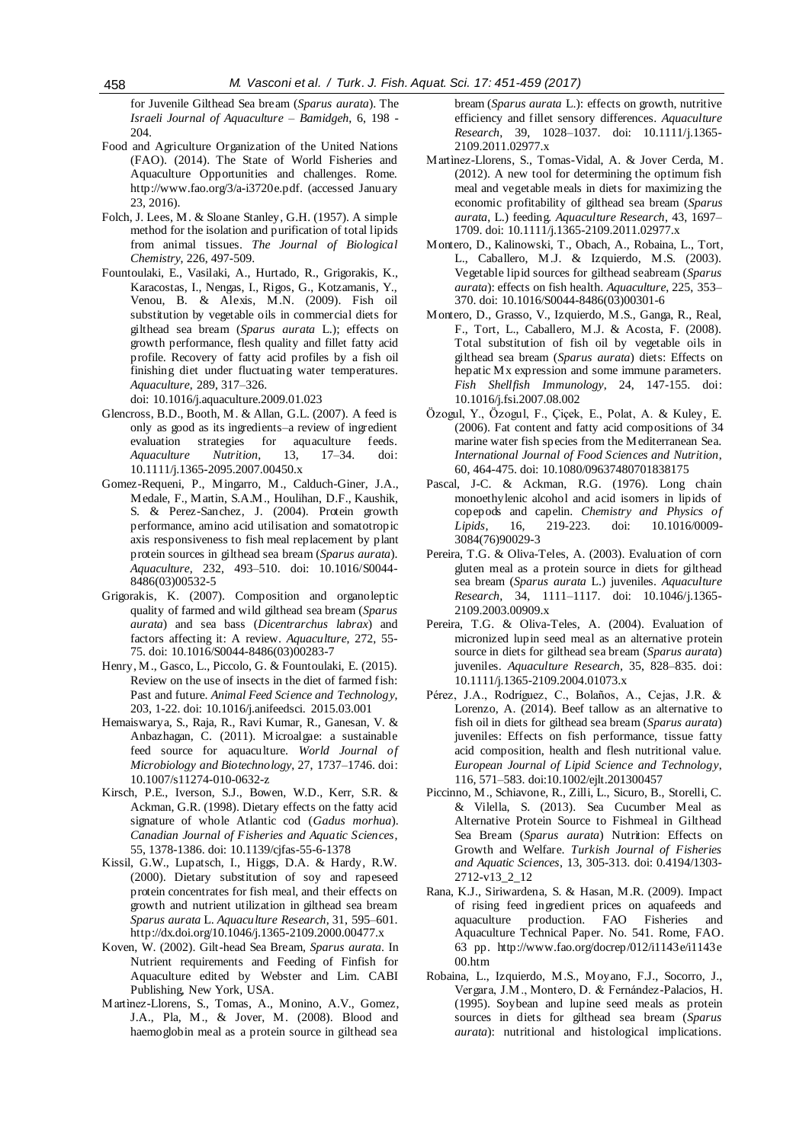for Juvenile Gilthead Sea bream (*Sparus aurata*). The *Israeli Journal of Aquaculture – Bamidgeh*, 6, 198 - 204.

- Food and Agriculture Organization of the United Nations (FAO). (2014). The State of World Fisheries and Aquaculture Opportunities and challenges. Rome. [http://www.fao.org/3/a-i3720e.pdf.](http://www.fao.org/3/a-i3720e.pdf) (accessed January 23, 2016).
- Folch, J. Lees, M. & Sloane Stanley, G.H. (1957). A simple method for the isolation and purification of total lipids from animal tissues. *The Journal of Biological Chemistry*, 226, 497-509.
- Fountoulaki, E., Vasilaki, A., Hurtado, R., Grigorakis, K., Karacostas, I., Nengas, I., Rigos, G., Kotzamanis, Y., Venou, B. & Alexis, M.N. (2009). Fish oil substitution by vegetable oils in commercial diets for gilthead sea bream (*Sparus aurata* L.); effects on growth performance, flesh quality and fillet fatty acid profile. Recovery of fatty acid profiles by a fish oil finishing diet under fluctuating water temperatures. *Aquaculture*, 289, 317–326.

doi: 10.1016/j.aquaculture.2009.01.023

- Glencross, B.D., Booth, M. & Allan, G.L. (2007). A feed is only as good as its ingredients–a review of ingredient evaluation strategies for aquaculture feeds. evaluation strategies for aquaculture<br>Aquaculture Nutrition, 13, 17-34. *Aquaculture Nutrition*, 13, 17–34. doi: 10.1111/j.1365-2095.2007.00450.x
- Gomez-Requeni, P., Mingarro, M., Calduch-Giner, J.A., Medale, F., Martin, S.A.M., Houlihan, D.F., Kaushik, S. & Perez-Sanchez, J. (2004). Protein growth performance, amino acid utilisation and somatotropic axis responsiveness to fish meal replacement by plant protein sources in gilthead sea bream (*Sparus aurata*). *Aquaculture*, 232, 493–510. doi: 10.1016/S0044- 8486(03)00532-5
- Grigorakis, K. (2007). Composition and organoleptic quality of farmed and wild gilthead sea bream (*Sparus aurata*) and sea bass (*Dicentrarchus labrax*) and factors affecting it: A review. *Aquaculture*, 272, 55- 75. doi: 10.1016/S0044-8486(03)00283-7
- Henry, M., Gasco, L., Piccolo, G. & Fountoulaki, E. (2015). Review on the use of insects in the diet of farmed fish: Past and future. *Animal Feed Science and Technology*, 203, 1-22. doi: 10.1016/j.anifeedsci. 2015.03.001
- Hemaiswarya, S., Raja, R., Ravi Kumar, R., Ganesan, V. & Anbazhagan, C. (2011). Microalgae: a sustainable feed source for aquaculture. *World Journal of Microbiology and Biotechnology*, 27, 1737–1746. doi: 10.1007/s11274-010-0632-z
- Kirsch, P.E., Iverson, S.J., Bowen, W.D., Kerr, S.R. & Ackman, G.R. (1998). Dietary effects on the fatty acid signature of whole Atlantic cod (*Gadus morhua*). *Canadian Journal of Fisheries and Aquatic Sciences*, 55, 1378-1386. doi: 10.1139/cjfas-55-6-1378
- Kissil, G.W., Lupatsch, I., Higgs, D.A. & Hardy, R.W. (2000). Dietary substitution of soy and rapeseed protein concentrates for fish meal, and their effects on growth and nutrient utilization in gilthead sea bream *Sparus aurata* L. *Aquaculture Research*, 31, 595–601. http://dx.doi.org/10.1046/j.1365-2109.2000.00477.x
- Koven, W. (2002). Gilt-head Sea Bream, *Sparus aurata*. In Nutrient requirements and Feeding of Finfish for Aquaculture edited by Webster and Lim. CABI Publishing, New York, USA.
- Martìnez-Llorens, S., Tomas, A., Monino, A.V., Gomez, J.A., Pla, M., & Jover, M. (2008). Blood and haemoglobin meal as a protein source in gilthead sea

bream (*Sparus aurata* L.): effects on growth, nutritive efficiency and fillet sensory differences. *Aquaculture Research*, 39, 1028–1037. doi: 10.1111/j.1365- 2109.2011.02977.x

- Martìnez-Llorens, S., Tomas-Vidal, A. & Jover Cerda, M. (2012). A new tool for determining the optimum fish meal and vegetable meals in diets for maximizing the economic profitability of gilthead sea bream (*Sparus aurata*, L.) feeding. *Aquaculture Research*, 43, 1697– 1709. doi: 10.1111/j.1365-2109.2011.02977.x
- Montero, D., Kalinowski, T., Obach, A., Robaina, L., Tort, L., Caballero, M.J. & Izquierdo, M.S. (2003). Vegetable lipid sources for gilthead seabream (*Sparus aurata*): effects on fish health. *Aquaculture*, 225, 353– 370. doi: 10.1016/S0044-8486(03)00301-6
- Montero, D., Grasso, V., Izquierdo, M.S., Ganga, R., Real, F., Tort, L., Caballero, M.J. & Acosta, F. (2008). Total substitution of fish oil by vegetable oils in gilthead sea bream (*Sparus aurata*) diets: Effects on hepatic Mx expression and some immune parameters. *Fish Shellfish Immunology*, 24, 147-155. doi: 10.1016/j.fsi.2007.08.002
- Özogul, Y., Özogul, F., Çiçek, E., Polat, A. & Kuley, E. (2006). Fat content and fatty acid compositions of 34 marine water fish species from the Mediterranean Sea. *International Journal of Food Sciences and Nutrition*, 60, 464-475. doi: 10.1080/09637480701838175
- Pascal, J-C. & Ackman, R.G. (1976). Long chain monoethylenic alcohol and acid isomers in lipids of copepods and capelin. *Chemistry and Physics of Lipids*, 16, 219-223. doi: 10.1016/0009- 3084(76)90029-3
- Pereira, T.G. & Oliva-Teles, A. (2003). Evaluation of corn gluten meal as a protein source in diets for gilthead sea bream (*Sparus aurata* L.) juveniles. *Aquaculture Research*, 34, 1111–1117. doi: 10.1046/j.1365- 2109.2003.00909.x
- Pereira, T.G. & Oliva-Teles, A. (2004). Evaluation of micronized lupin seed meal as an alternative protein source in diets for gilthead sea bream (*Sparus aurata*) juveniles. *Aquaculture Research*, 35, 828–835. doi: 10.1111/j.1365-2109.2004.01073.x
- Pérez, J.A., Rodríguez, C., Bolaños, A., Cejas, J.R. & Lorenzo, A. (2014). Beef tallow as an alternative to fish oil in diets for gilthead sea bream (*Sparus aurata*) juveniles: Effects on fish performance, tissue fatty acid composition, health and flesh nutritional value. *European Journal of Lipid Science and Technology*, 116, 571–583. doi:10.1002/ejlt.201300457
- Piccinno, M., Schiavone, R., Zilli, L., Sicuro, B., Storelli, C. & Vilella, S. (2013). Sea Cucumber Meal as Alternative Protein Source to Fishmeal in Gilthead Sea Bream (*Sparus aurata*) Nutrition: Effects on Growth and Welfare. *Turkish Journal of Fisheries and Aquatic Sciences*, 13, 305-313. doi: 0.4194/1303- 2712-v13\_2\_12
- Rana, K.J., Siriwardena, S. & Hasan, M.R. (2009). Impact of rising feed ingredient prices on aquafeeds and aquaculture production. FAO Fisheries and Aquaculture Technical Paper. No. 541. Rome, FAO. 63 pp. http://www.fao.org/docrep/012/i1143e/i1143e 00.htm
- Robaina, L., Izquierdo, M.S., Moyano, F.J., Socorro, J., Vergara, J.M., Montero, D. & Fernández-Palacios, H. (1995). Soybean and lupine seed meals as protein sources in diets for gilthead sea bream (*Sparus aurata*): nutritional and histological implications.